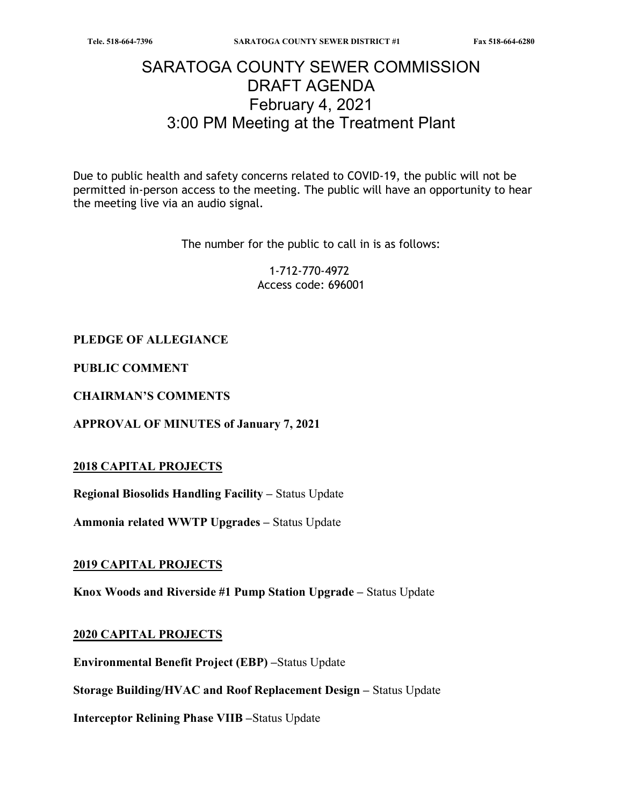# SARATOGA COUNTY SEWER COMMISSION DRAFT AGENDA February 4, 2021 3:00 PM Meeting at the Treatment Plant

Due to public health and safety concerns related to COVID-19, the public will not be permitted in-person access to the meeting. The public will have an opportunity to hear the meeting live via an audio signal.

The number for the public to call in is as follows:

1-712-770-4972 Access code: 696001

# PLEDGE OF ALLEGIANCE

PUBLIC COMMENT

CHAIRMAN'S COMMENTS

APPROVAL OF MINUTES of January 7, 2021

#### 2018 CAPITAL PROJECTS

Regional Biosolids Handling Facility – Status Update

Ammonia related WWTP Upgrades – Status Update

#### 2019 CAPITAL PROJECTS

Knox Woods and Riverside #1 Pump Station Upgrade – Status Update

#### 2020 CAPITAL PROJECTS

Environmental Benefit Project (EBP) –Status Update

Storage Building/HVAC and Roof Replacement Design – Status Update

Interceptor Relining Phase VIIB –Status Update